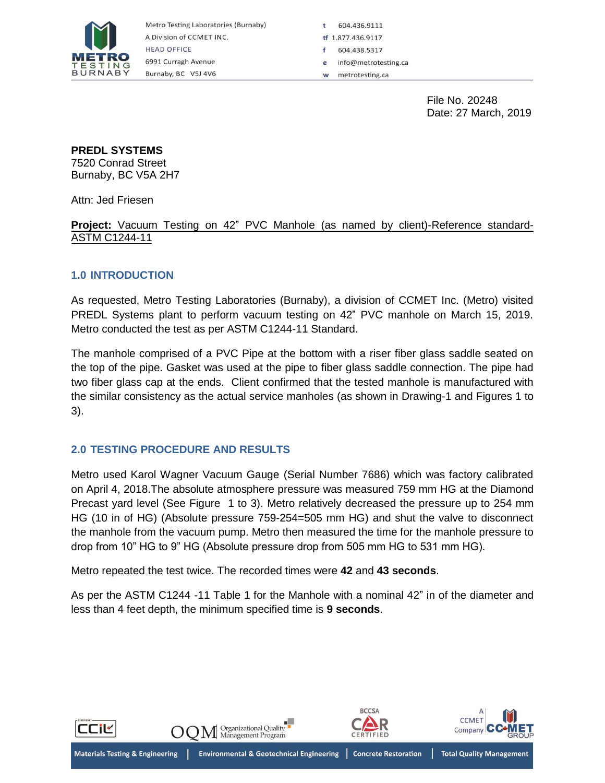

604.436.9111 ff 1.877.436.9117 604.438.5317 info@metrotesting.ca metrotesting.ca w

> File No. 20248 Date: 27 March, 2019

### **PREDL SYSTEMS**

7520 Conrad Street Burnaby, BC V5A 2H7

Attn: Jed Friesen

**Project:** Vacuum Testing on 42" PVC Manhole (as named by client)-Reference standard-ASTM C1244-11

## **1.0 INTRODUCTION**

As requested, Metro Testing Laboratories (Burnaby), a division of CCMET Inc. (Metro) visited PREDL Systems plant to perform vacuum testing on 42" PVC manhole on March 15, 2019. Metro conducted the test as per ASTM C1244-11 Standard.

The manhole comprised of a PVC Pipe at the bottom with a riser fiber glass saddle seated on the top of the pipe. Gasket was used at the pipe to fiber glass saddle connection. The pipe had two fiber glass cap at the ends. Client confirmed that the tested manhole is manufactured with the similar consistency as the actual service manholes (as shown in Drawing-1 and Figures 1 to 3).

## **2.0 TESTING PROCEDURE AND RESULTS**

Metro used Karol Wagner Vacuum Gauge (Serial Number 7686) which was factory calibrated on April 4, 2018.The absolute atmosphere pressure was measured 759 mm HG at the Diamond Precast yard level (See Figure 1 to 3). Metro relatively decreased the pressure up to 254 mm HG (10 in of HG) (Absolute pressure 759-254=505 mm HG) and shut the valve to disconnect the manhole from the vacuum pump. Metro then measured the time for the manhole pressure to drop from 10" HG to 9" HG (Absolute pressure drop from 505 mm HG to 531 mm HG).

Metro repeated the test twice. The recorded times were **42** and **43 seconds**.

As per the ASTM C1244 -11 Table 1 for the Manhole with a nominal 42" in of the diameter and less than 4 feet depth, the minimum specified time is **9 seconds**.

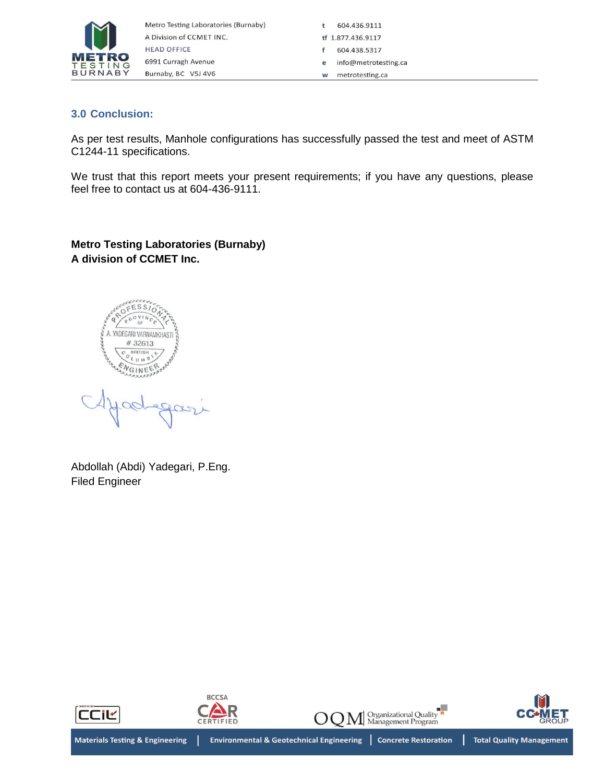

604.436.9111  $\mathbf t$ tf 1.877.436.9117 604.438.5317 info@metrotesting.ca e w metrotesting.ca

## **3.0 Conclusion:**

As per test results, Manhole configurations has successfully passed the test and meet of ASTM C1244-11 specifications.

We trust that this report meets your present requirements; if you have any questions, please feel free to contact us at 604-436-9111.

**Metro Testing Laboratories (Burnaby) A division of CCMET Inc.**

YADEGARI VARNAMKHAST #32613 GINFE

 $\alpha$ 

Abdollah (Abdi) Yadegari, P.Eng. Filed Engineer

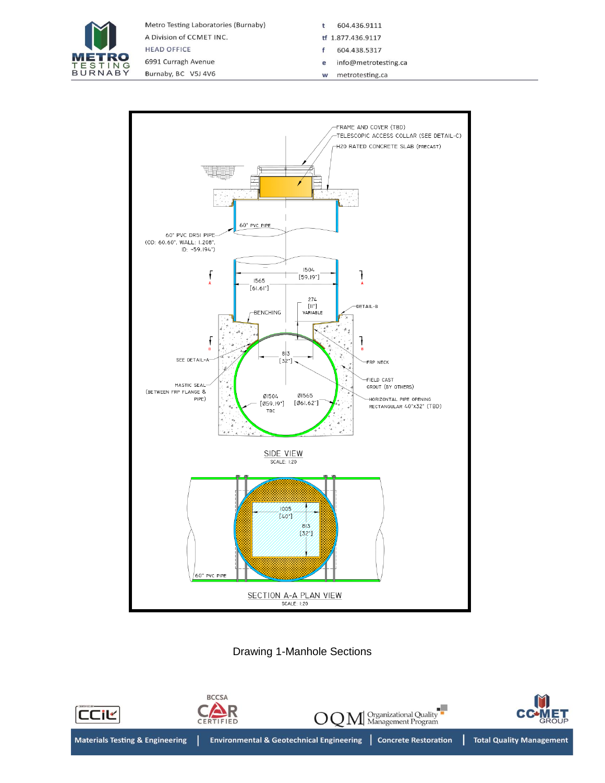

Metro Testing Laboratories (Burnaby) A Division of CCMET INC. **HEAD OFFICE** 

6991 Curragh Avenue Burnaby, BC V5J 4V6  $\mathbf t$ 604.436.9111

- tf 1.877.436.9117
- 604.438.5317  $\mathsf f$ e info@metrotesting.ca
- metrotesting.ca W



# Drawing 1-Manhole Sections

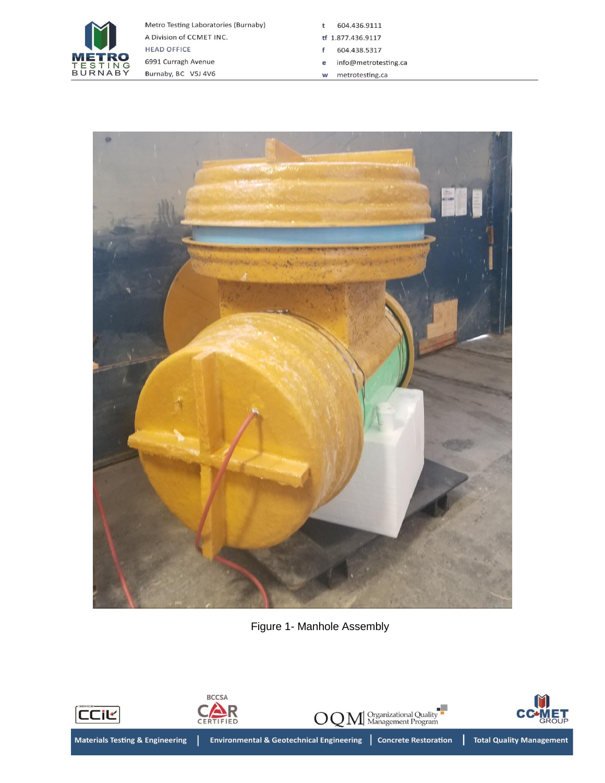

 $\mathbf t$ 604.436.9111

- tf 1.877.436.9117
- 604.438.5317  $\mathsf f$ e info@metrotesting.ca
- $w$  metrotesting.ca



Figure 1- Manhole Assembly

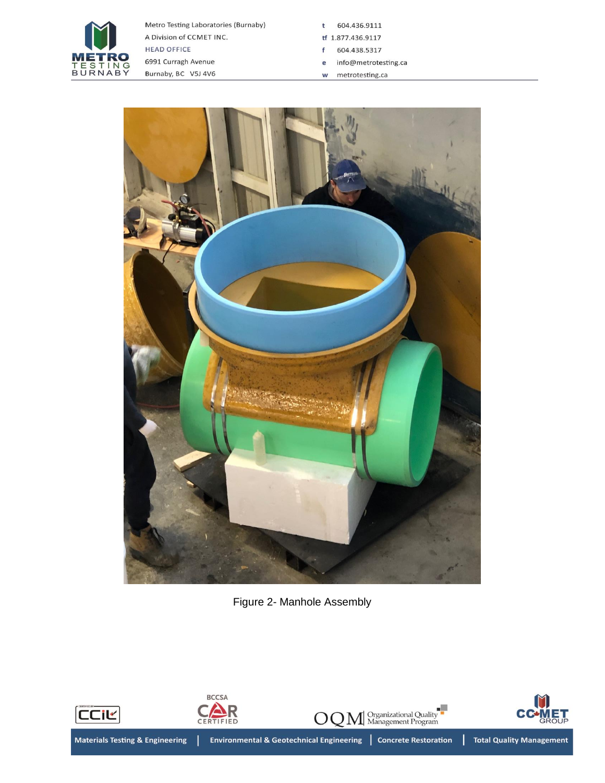

t 604.436.9111

- tf 1.877.436.9117
- 604.438.5317  $\mathsf f$
- e info@metrotesting.ca
- $w$  metrotesting.ca



Figure 2- Manhole Assembly